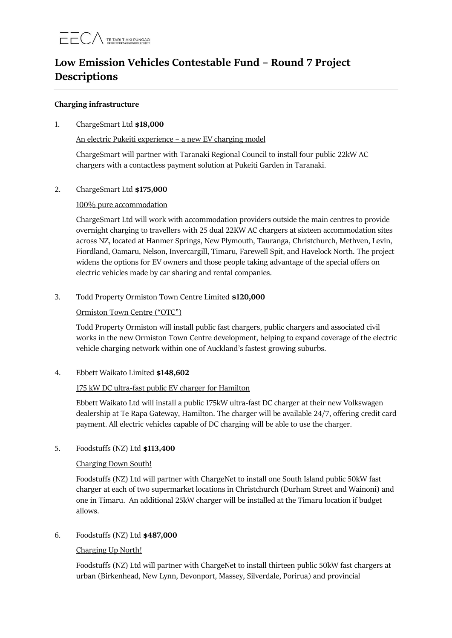# **Low Emission Vehicles Contestable Fund – Round 7 Project Descriptions**

### **Charging infrastructure**

# 1. ChargeSmart Ltd **\$18,000**

An electric Pukeiti experience – a new EV charging model

ChargeSmart will partner with Taranaki Regional Council to install four public 22kW AC chargers with a contactless payment solution at Pukeiti Garden in Taranaki.

2. ChargeSmart Ltd **\$175,000**

# 100% pure accommodation

ChargeSmart Ltd will work with accommodation providers outside the main centres to provide overnight charging to travellers with 25 dual 22KW AC chargers at sixteen accommodation sites across NZ, located at Hanmer Springs, New Plymouth, Tauranga, Christchurch, Methven, Levin, Fiordland, Oamaru, Nelson, Invercargill, Timaru, Farewell Spit, and Havelock North. The project widens the options for EV owners and those people taking advantage of the special offers on electric vehicles made by car sharing and rental companies.

# 3. Todd Property Ormiston Town Centre Limited **\$120,000**

# Ormiston Town Centre ("OTC")

Todd Property Ormiston will install public fast chargers, public chargers and associated civil works in the new Ormiston Town Centre development, helping to expand coverage of the electric vehicle charging network within one of Auckland's fastest growing suburbs.

4. Ebbett Waikato Limited **\$148,602**

# 175 kW DC ultra-fast public EV charger for Hamilton

Ebbett Waikato Ltd will install a public 175kW ultra-fast DC charger at their new Volkswagen dealership at Te Rapa Gateway, Hamilton. The charger will be available 24/7, offering credit card payment. All electric vehicles capable of DC charging will be able to use the charger.

# 5. Foodstuffs (NZ) Ltd **\$113,400**

#### Charging Down South!

Foodstuffs (NZ) Ltd will partner with ChargeNet to install one South Island public 50kW fast charger at each of two supermarket locations in Christchurch (Durham Street and Wainoni) and one in Timaru. An additional 25kW charger will be installed at the Timaru location if budget allows.

### 6. Foodstuffs (NZ) Ltd **\$487,000**

# Charging Up North!

Foodstuffs (NZ) Ltd will partner with ChargeNet to install thirteen public 50kW fast chargers at urban (Birkenhead, New Lynn, Devonport, Massey, Silverdale, Porirua) and provincial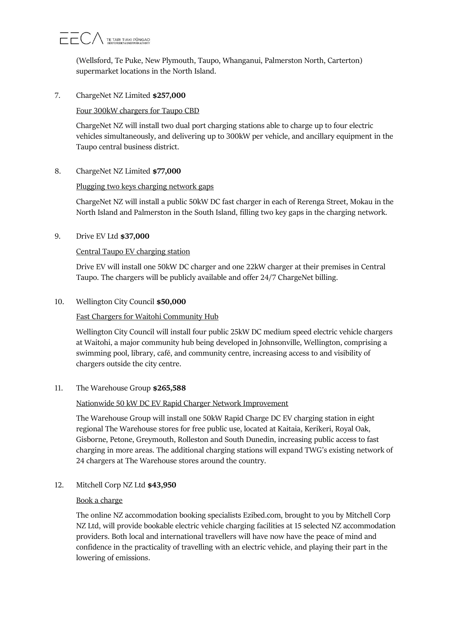# $\overline{\phantom{a}}$   $\overline{\phantom{a}}$   $\overline{\phantom{a}}$   $\overline{\phantom{a}}$   $\overline{\phantom{a}}$   $\overline{\phantom{a}}$   $\overline{\phantom{a}}$   $\overline{\phantom{a}}$   $\overline{\phantom{a}}$   $\overline{\phantom{a}}$   $\overline{\phantom{a}}$   $\overline{\phantom{a}}$   $\overline{\phantom{a}}$   $\overline{\phantom{a}}$   $\overline{\phantom{a}}$   $\overline{\phantom{a}}$   $\overline{\phantom{a}}$   $\overline{\phantom{a}}$   $\overline{\$

(Wellsford, Te Puke, New Plymouth, Taupo, Whanganui, Palmerston North, Carterton) supermarket locations in the North Island.

### 7. ChargeNet NZ Limited **\$257,000**

# Four 300kW chargers for Taupo CBD

ChargeNet NZ will install two dual port charging stations able to charge up to four electric vehicles simultaneously, and delivering up to 300kW per vehicle, and ancillary equipment in the Taupo central business district.

# 8. ChargeNet NZ Limited **\$77,000**

# Plugging two keys charging network gaps

ChargeNet NZ will install a public 50kW DC fast charger in each of Rerenga Street, Mokau in the North Island and Palmerston in the South Island, filling two key gaps in the charging network.

# 9. Drive EV Ltd **\$37,000**

# Central Taupo EV charging station

Drive EV will install one 50kW DC charger and one 22kW charger at their premises in Central Taupo. The chargers will be publicly available and offer 24/7 ChargeNet billing.

# 10. Wellington City Council **\$50,000**

# Fast Chargers for Waitohi Community Hub

Wellington City Council will install four public 25kW DC medium speed electric vehicle chargers at Waitohi, a major community hub being developed in Johnsonville, Wellington, comprising a swimming pool, library, café, and community centre, increasing access to and visibility of chargers outside the city centre.

#### 11. The Warehouse Group **\$265,588**

#### Nationwide 50 kW DC EV Rapid Charger Network Improvement

The Warehouse Group will install one 50kW Rapid Charge DC EV charging station in eight regional The Warehouse stores for free public use, located at Kaitaia, Kerikeri, Royal Oak, Gisborne, Petone, Greymouth, Rolleston and South Dunedin, increasing public access to fast charging in more areas. The additional charging stations will expand TWG's existing network of 24 chargers at The Warehouse stores around the country.

12. Mitchell Corp NZ Ltd **\$43,950**

#### Book a charge

The online NZ accommodation booking specialists Ezibed.com, brought to you by Mitchell Corp NZ Ltd, will provide bookable electric vehicle charging facilities at 15 selected NZ accommodation providers. Both local and international travellers will have now have the peace of mind and confidence in the practicality of travelling with an electric vehicle, and playing their part in the lowering of emissions.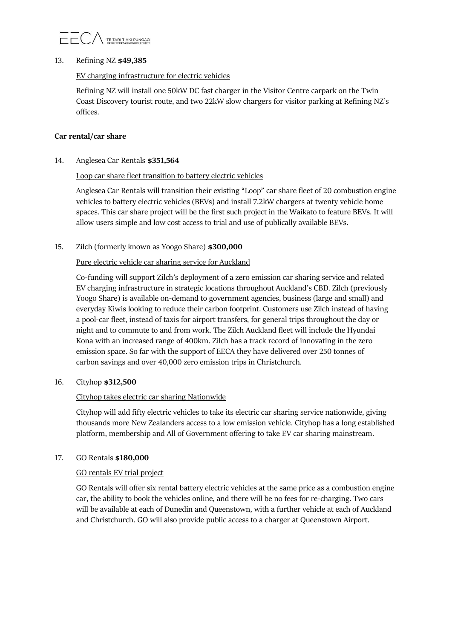

#### 13. Refining NZ **\$49,385**

### EV charging infrastructure for electric vehicles

Refining NZ will install one 50kW DC fast charger in the Visitor Centre carpark on the Twin Coast Discovery tourist route, and two 22kW slow chargers for visitor parking at Refining NZ's offices.

### **Car rental/car share**

14. Anglesea Car Rentals **\$351,564**

# Loop car share fleet transition to battery electric vehicles

Anglesea Car Rentals will transition their existing "Loop" car share fleet of 20 combustion engine vehicles to battery electric vehicles (BEVs) and install 7.2kW chargers at twenty vehicle home spaces. This car share project will be the first such project in the Waikato to feature BEVs. It will allow users simple and low cost access to trial and use of publically available BEVs.

15. Zilch (formerly known as Yoogo Share) **\$300,000**

# Pure electric vehicle car sharing service for Auckland

Co-funding will support Zilch's deployment of a zero emission car sharing service and related EV charging infrastructure in strategic locations throughout Auckland's CBD. Zilch (previously Yoogo Share) is available on-demand to government agencies, business (large and small) and everyday Kiwis looking to reduce their carbon footprint. Customers use Zilch instead of having a pool-car fleet, instead of taxis for airport transfers, for general trips throughout the day or night and to commute to and from work. The Zilch Auckland fleet will include the Hyundai Kona with an increased range of 400km. Zilch has a track record of innovating in the zero emission space. So far with the support of EECA they have delivered over 250 tonnes of carbon savings and over 40,000 zero emission trips in Christchurch.

#### 16. Cityhop **\$312,500**

#### Cityhop takes electric car sharing Nationwide

Cityhop will add fifty electric vehicles to take its electric car sharing service nationwide, giving thousands more New Zealanders access to a low emission vehicle. Cityhop has a long established platform, membership and All of Government offering to take EV car sharing mainstream.

#### 17. GO Rentals **\$180,000**

#### GO rentals EV trial project

GO Rentals will offer six rental battery electric vehicles at the same price as a combustion engine car, the ability to book the vehicles online, and there will be no fees for re-charging. Two cars will be available at each of Dunedin and Queenstown, with a further vehicle at each of Auckland and Christchurch. GO will also provide public access to a charger at Queenstown Airport.